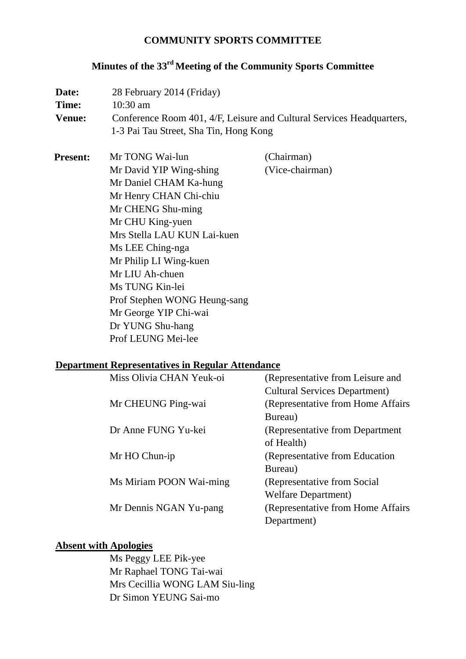### **COMMUNITY SPORTS COMMITTEE**

# **Minutes of the 33rd Meeting of the Community Sports Committee**

| Date:           | 28 February 2014 (Friday)                                                                                                                                                                                                                                                                                                                                     |                               |  |
|-----------------|---------------------------------------------------------------------------------------------------------------------------------------------------------------------------------------------------------------------------------------------------------------------------------------------------------------------------------------------------------------|-------------------------------|--|
| Time:           | $10:30$ am                                                                                                                                                                                                                                                                                                                                                    |                               |  |
| <b>Venue:</b>   | Conference Room 401, 4/F, Leisure and Cultural Services Headquarters,<br>1-3 Pai Tau Street, Sha Tin, Hong Kong                                                                                                                                                                                                                                               |                               |  |
| <b>Present:</b> | Mr TONG Wai-lun<br>Mr David YIP Wing-shing<br>Mr Daniel CHAM Ka-hung<br>Mr Henry CHAN Chi-chiu<br>Mr CHENG Shu-ming<br>Mr CHU King-yuen<br>Mrs Stella LAU KUN Lai-kuen<br>Ms LEE Ching-nga<br>Mr Philip LI Wing-kuen<br>Mr LIU Ah-chuen<br>Ms TUNG Kin-lei<br>Prof Stephen WONG Heung-sang<br>Mr George YIP Chi-wai<br>Dr YUNG Shu-hang<br>Prof LEUNG Mei-lee | (Chairman)<br>(Vice-chairman) |  |

# **Department Representatives in Regular Attendance**

| Miss Olivia CHAN Yeuk-oi | (Representative from Leisure and      |
|--------------------------|---------------------------------------|
|                          | <b>Cultural Services Department</b> ) |
| Mr CHEUNG Ping-wai       | (Representative from Home Affairs)    |
|                          | Bureau)                               |
| Dr Anne FUNG Yu-kei      | (Representative from Department)      |
|                          | of Health)                            |
| Mr HO Chun-ip            | (Representative from Education        |
|                          | Bureau)                               |
| Ms Miriam POON Wai-ming  | (Representative from Social)          |
|                          | <b>Welfare Department</b> )           |
| Mr Dennis NGAN Yu-pang   | (Representative from Home Affairs)    |
|                          | Department)                           |
|                          |                                       |

### **Absent with Apologies**

Ms Peggy LEE Pik-yee Mr Raphael TONG Tai-wai Mrs Cecillia WONG LAM Siu-ling Dr Simon YEUNG Sai-mo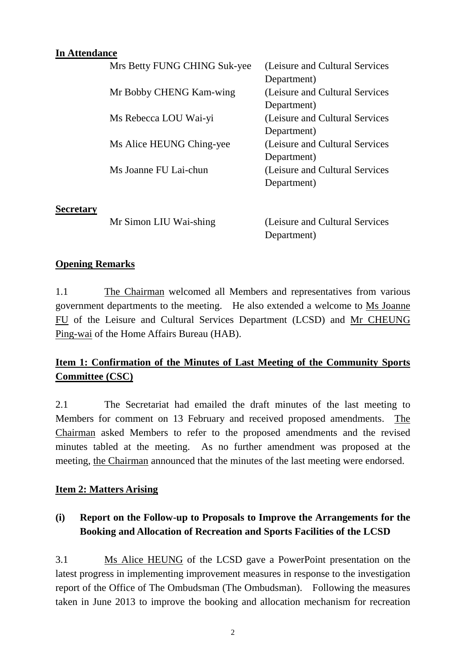#### **In Attendance**

|                  | Mrs Betty FUNG CHING Suk-yee | (Leisure and Cultural Services) |
|------------------|------------------------------|---------------------------------|
|                  |                              | Department)                     |
|                  | Mr Bobby CHENG Kam-wing      | (Leisure and Cultural Services) |
|                  |                              | Department)                     |
|                  | Ms Rebecca LOU Wai-yi        | (Leisure and Cultural Services) |
|                  |                              | Department)                     |
|                  | Ms Alice HEUNG Ching-yee     | (Leisure and Cultural Services) |
|                  |                              | Department)                     |
|                  | Ms Joanne FU Lai-chun        | (Leisure and Cultural Services) |
|                  |                              | Department)                     |
| <b>Secretary</b> |                              |                                 |
|                  | Mr Simon LIU Wai-shing       | (Leisure and Cultural Services  |

Department)

#### **Opening Remarks**

1.1 The Chairman welcomed all Members and representatives from various government departments to the meeting. He also extended a welcome to Ms Joanne FU of the Leisure and Cultural Services Department (LCSD) and Mr CHEUNG Ping-wai of the Home Affairs Bureau (HAB).

# **Item 1: Confirmation of the Minutes of Last Meeting of the Community Sports Committee (CSC)**

2.1 The Secretariat had emailed the draft minutes of the last meeting to Members for comment on 13 February and received proposed amendments. The Chairman asked Members to refer to the proposed amendments and the revised minutes tabled at the meeting. As no further amendment was proposed at the meeting, the Chairman announced that the minutes of the last meeting were endorsed.

### **Item 2: Matters Arising**

# **(i) Report on the Follow-up to Proposals to Improve the Arrangements for the Booking and Allocation of Recreation and Sports Facilities of the LCSD**

3.1 Ms Alice HEUNG of the LCSD gave a PowerPoint presentation on the latest progress in implementing improvement measures in response to the investigation report of the Office of The Ombudsman (The Ombudsman). Following the measures taken in June 2013 to improve the booking and allocation mechanism for recreation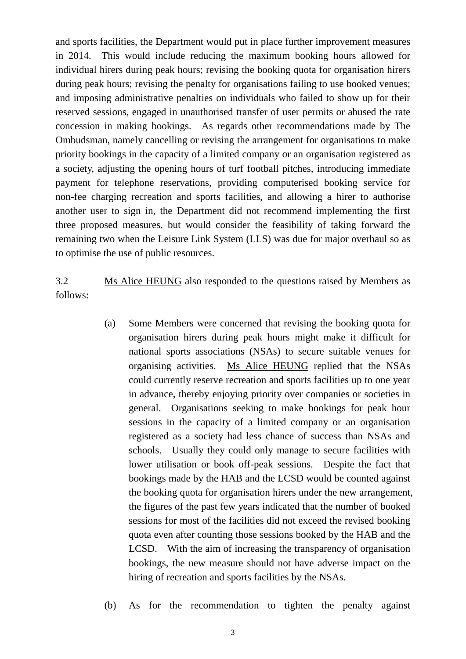and sports facilities, the Department would put in place further improvement measures in 2014. This would include reducing the maximum booking hours allowed for individual hirers during peak hours; revising the booking quota for organisation hirers during peak hours; revising the penalty for organisations failing to use booked venues; and imposing administrative penalties on individuals who failed to show up for their reserved sessions, engaged in unauthorised transfer of user permits or abused the rate concession in making bookings. As regards other recommendations made by The Ombudsman, namely cancelling or revising the arrangement for organisations to make priority bookings in the capacity of a limited company or an organisation registered as a society, adjusting the opening hours of turf football pitches, introducing immediate payment for telephone reservations, providing computerised booking service for non-fee charging recreation and sports facilities, and allowing a hirer to authorise another user to sign in, the Department did not recommend implementing the first three proposed measures, but would consider the feasibility of taking forward the remaining two when the Leisure Link System (LLS) was due for major overhaul so as to optimise the use of public resources.

3.2 Ms Alice HEUNG also responded to the questions raised by Members as follows:

- (a) Some Members were concerned that revising the booking quota for organisation hirers during peak hours might make it difficult for national sports associations (NSAs) to secure suitable venues for organising activities. Ms Alice HEUNG replied that the NSAs could currently reserve recreation and sports facilities up to one year in advance, thereby enjoying priority over companies or societies in general. Organisations seeking to make bookings for peak hour sessions in the capacity of a limited company or an organisation registered as a society had less chance of success than NSAs and schools. Usually they could only manage to secure facilities with lower utilisation or book off-peak sessions. Despite the fact that bookings made by the HAB and the LCSD would be counted against the booking quota for organisation hirers under the new arrangement, the figures of the past few years indicated that the number of booked sessions for most of the facilities did not exceed the revised booking quota even after counting those sessions booked by the HAB and the LCSD. With the aim of increasing the transparency of organisation bookings, the new measure should not have adverse impact on the hiring of recreation and sports facilities by the NSAs.
- (b) As for the recommendation to tighten the penalty against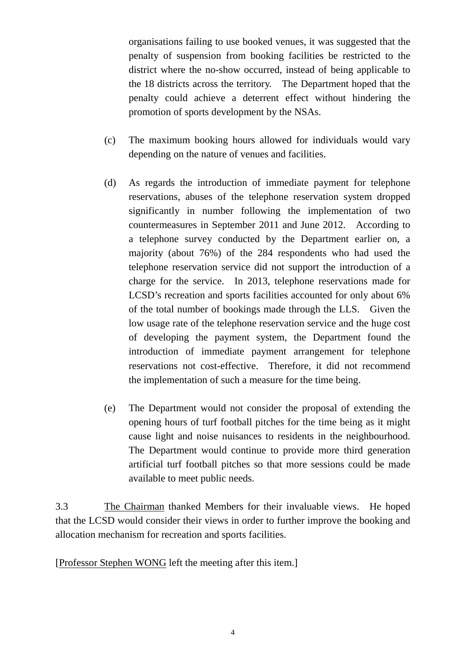organisations failing to use booked venues, it was suggested that the penalty of suspension from booking facilities be restricted to the district where the no-show occurred, instead of being applicable to the 18 districts across the territory. The Department hoped that the penalty could achieve a deterrent effect without hindering the promotion of sports development by the NSAs.

- (c) The maximum booking hours allowed for individuals would vary depending on the nature of venues and facilities.
- (d) As regards the introduction of immediate payment for telephone reservations, abuses of the telephone reservation system dropped significantly in number following the implementation of two countermeasures in September 2011 and June 2012. According to a telephone survey conducted by the Department earlier on, a majority (about 76%) of the 284 respondents who had used the telephone reservation service did not support the introduction of a charge for the service. In 2013, telephone reservations made for LCSD's recreation and sports facilities accounted for only about 6% of the total number of bookings made through the LLS. Given the low usage rate of the telephone reservation service and the huge cost of developing the payment system, the Department found the introduction of immediate payment arrangement for telephone reservations not cost-effective. Therefore, it did not recommend the implementation of such a measure for the time being.
- (e) The Department would not consider the proposal of extending the opening hours of turf football pitches for the time being as it might cause light and noise nuisances to residents in the neighbourhood. The Department would continue to provide more third generation artificial turf football pitches so that more sessions could be made available to meet public needs.

3.3 The Chairman thanked Members for their invaluable views. He hoped that the LCSD would consider their views in order to further improve the booking and allocation mechanism for recreation and sports facilities.

[Professor Stephen WONG left the meeting after this item.]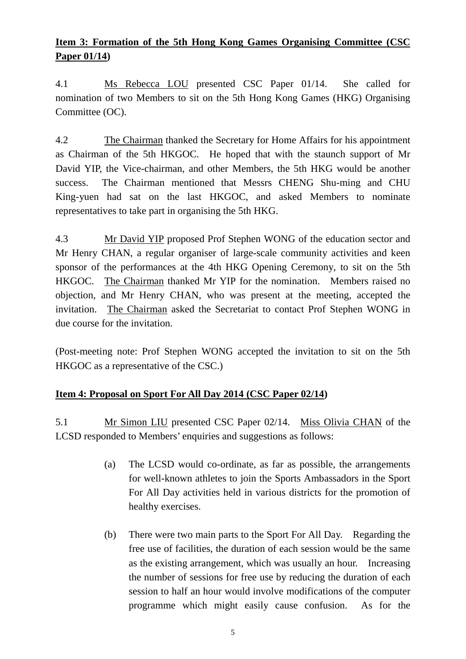# **Item 3: Formation of the 5th Hong Kong Games Organising Committee (CSC Paper 01/14)**

4.1 Ms Rebecca LOU presented CSC Paper 01/14. She called for nomination of two Members to sit on the 5th Hong Kong Games (HKG) Organising Committee (OC).

4.2 The Chairman thanked the Secretary for Home Affairs for his appointment as Chairman of the 5th HKGOC. He hoped that with the staunch support of Mr David YIP, the Vice-chairman, and other Members, the 5th HKG would be another success. The Chairman mentioned that Messrs CHENG Shu-ming and CHU King-yuen had sat on the last HKGOC, and asked Members to nominate representatives to take part in organising the 5th HKG.

4.3 Mr David YIP proposed Prof Stephen WONG of the education sector and Mr Henry CHAN, a regular organiser of large-scale community activities and keen sponsor of the performances at the 4th HKG Opening Ceremony, to sit on the 5th HKGOC. The Chairman thanked Mr YIP for the nomination. Members raised no objection, and Mr Henry CHAN, who was present at the meeting, accepted the invitation. The Chairman asked the Secretariat to contact Prof Stephen WONG in due course for the invitation.

(Post-meeting note: Prof Stephen WONG accepted the invitation to sit on the 5th HKGOC as a representative of the CSC.)

# **Item 4: Proposal on Sport For All Day 2014 (CSC Paper 02/14)**

5.1 Mr Simon LIU presented CSC Paper 02/14. Miss Olivia CHAN of the LCSD responded to Members' enquiries and suggestions as follows:

- (a) The LCSD would co-ordinate, as far as possible, the arrangements for well-known athletes to join the Sports Ambassadors in the Sport For All Day activities held in various districts for the promotion of healthy exercises.
- (b) There were two main parts to the Sport For All Day. Regarding the free use of facilities, the duration of each session would be the same as the existing arrangement, which was usually an hour. Increasing the number of sessions for free use by reducing the duration of each session to half an hour would involve modifications of the computer programme which might easily cause confusion. As for the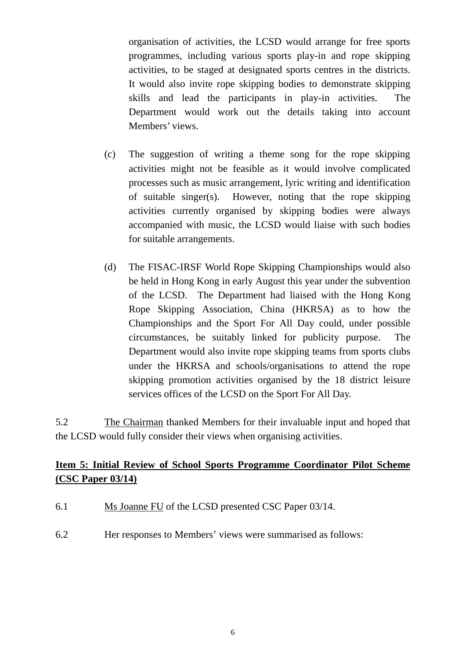organisation of activities, the LCSD would arrange for free sports programmes, including various sports play-in and rope skipping activities, to be staged at designated sports centres in the districts. It would also invite rope skipping bodies to demonstrate skipping skills and lead the participants in play-in activities. The Department would work out the details taking into account Members' views.

- (c) The suggestion of writing a theme song for the rope skipping activities might not be feasible as it would involve complicated processes such as music arrangement, lyric writing and identification of suitable singer(s). However, noting that the rope skipping activities currently organised by skipping bodies were always accompanied with music, the LCSD would liaise with such bodies for suitable arrangements.
- (d) The FISAC-IRSF World Rope Skipping Championships would also be held in Hong Kong in early August this year under the subvention of the LCSD. The Department had liaised with the Hong Kong Rope Skipping Association, China (HKRSA) as to how the Championships and the Sport For All Day could, under possible circumstances, be suitably linked for publicity purpose. The Department would also invite rope skipping teams from sports clubs under the HKRSA and schools/organisations to attend the rope skipping promotion activities organised by the 18 district leisure services offices of the LCSD on the Sport For All Day.

5.2 The Chairman thanked Members for their invaluable input and hoped that the LCSD would fully consider their views when organising activities.

# **Item 5: Initial Review of School Sports Programme Coordinator Pilot Scheme (CSC Paper 03/14)**

- 6.1 Ms Joanne FU of the LCSD presented CSC Paper 03/14.
- 6.2 Her responses to Members' views were summarised as follows: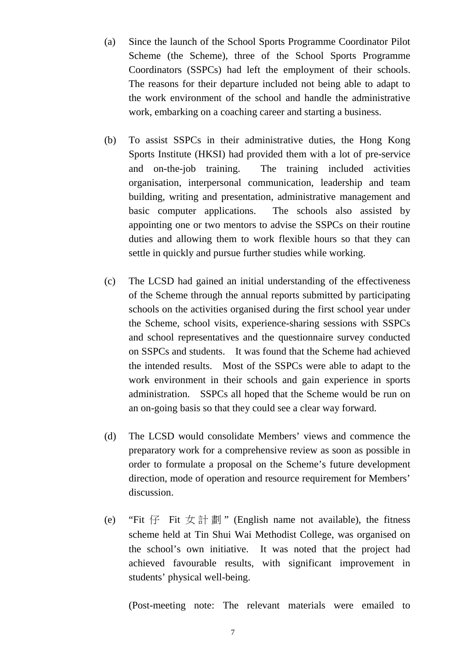- (a) Since the launch of the School Sports Programme Coordinator Pilot Scheme (the Scheme), three of the School Sports Programme Coordinators (SSPCs) had left the employment of their schools. The reasons for their departure included not being able to adapt to the work environment of the school and handle the administrative work, embarking on a coaching career and starting a business.
- (b) To assist SSPCs in their administrative duties, the Hong Kong Sports Institute (HKSI) had provided them with a lot of pre-service and on-the-job training. The training included activities organisation, interpersonal communication, leadership and team building, writing and presentation, administrative management and basic computer applications. The schools also assisted by appointing one or two mentors to advise the SSPCs on their routine duties and allowing them to work flexible hours so that they can settle in quickly and pursue further studies while working.
- (c) The LCSD had gained an initial understanding of the effectiveness of the Scheme through the annual reports submitted by participating schools on the activities organised during the first school year under the Scheme, school visits, experience-sharing sessions with SSPCs and school representatives and the questionnaire survey conducted on SSPCs and students. It was found that the Scheme had achieved the intended results. Most of the SSPCs were able to adapt to the work environment in their schools and gain experience in sports administration. SSPCs all hoped that the Scheme would be run on an on-going basis so that they could see a clear way forward.
- (d) The LCSD would consolidate Members' views and commence the preparatory work for a comprehensive review as soon as possible in order to formulate a proposal on the Scheme's future development direction, mode of operation and resource requirement for Members' discussion.
- (e) "Fit 仔 Fit  $\circledf$  if i iii " (English name not available), the fitness scheme held at Tin Shui Wai Methodist College, was organised on the school's own initiative. It was noted that the project had achieved favourable results, with significant improvement in students' physical well-being.

(Post-meeting note: The relevant materials were emailed to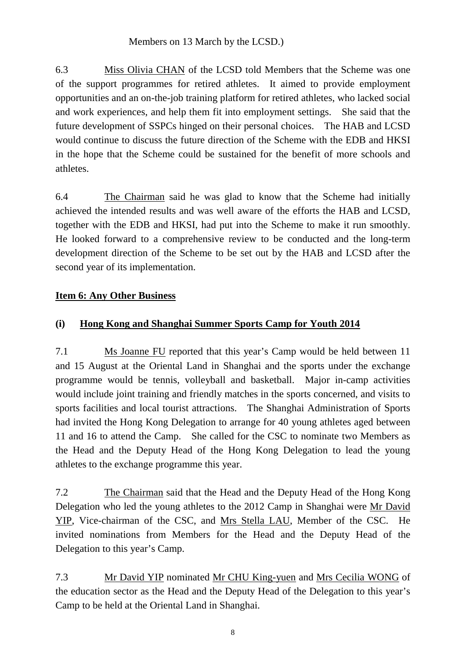6.3 Miss Olivia CHAN of the LCSD told Members that the Scheme was one of the support programmes for retired athletes. It aimed to provide employment opportunities and an on-the-job training platform for retired athletes, who lacked social and work experiences, and help them fit into employment settings. She said that the future development of SSPCs hinged on their personal choices. The HAB and LCSD would continue to discuss the future direction of the Scheme with the EDB and HKSI in the hope that the Scheme could be sustained for the benefit of more schools and athletes.

6.4 The Chairman said he was glad to know that the Scheme had initially achieved the intended results and was well aware of the efforts the HAB and LCSD, together with the EDB and HKSI, had put into the Scheme to make it run smoothly. He looked forward to a comprehensive review to be conducted and the long-term development direction of the Scheme to be set out by the HAB and LCSD after the second year of its implementation.

### **Item 6: Any Other Business**

# **(i) Hong Kong and Shanghai Summer Sports Camp for Youth 2014**

7.1 Ms Joanne FU reported that this year's Camp would be held between 11 and 15 August at the Oriental Land in Shanghai and the sports under the exchange programme would be tennis, volleyball and basketball. Major in-camp activities would include joint training and friendly matches in the sports concerned, and visits to sports facilities and local tourist attractions. The Shanghai Administration of Sports had invited the Hong Kong Delegation to arrange for 40 young athletes aged between 11 and 16 to attend the Camp. She called for the CSC to nominate two Members as the Head and the Deputy Head of the Hong Kong Delegation to lead the young athletes to the exchange programme this year.

7.2 The Chairman said that the Head and the Deputy Head of the Hong Kong Delegation who led the young athletes to the 2012 Camp in Shanghai were Mr David YIP, Vice-chairman of the CSC, and Mrs Stella LAU, Member of the CSC. He invited nominations from Members for the Head and the Deputy Head of the Delegation to this year's Camp.

7.3 Mr David YIP nominated Mr CHU King-yuen and Mrs Cecilia WONG of the education sector as the Head and the Deputy Head of the Delegation to this year's Camp to be held at the Oriental Land in Shanghai.